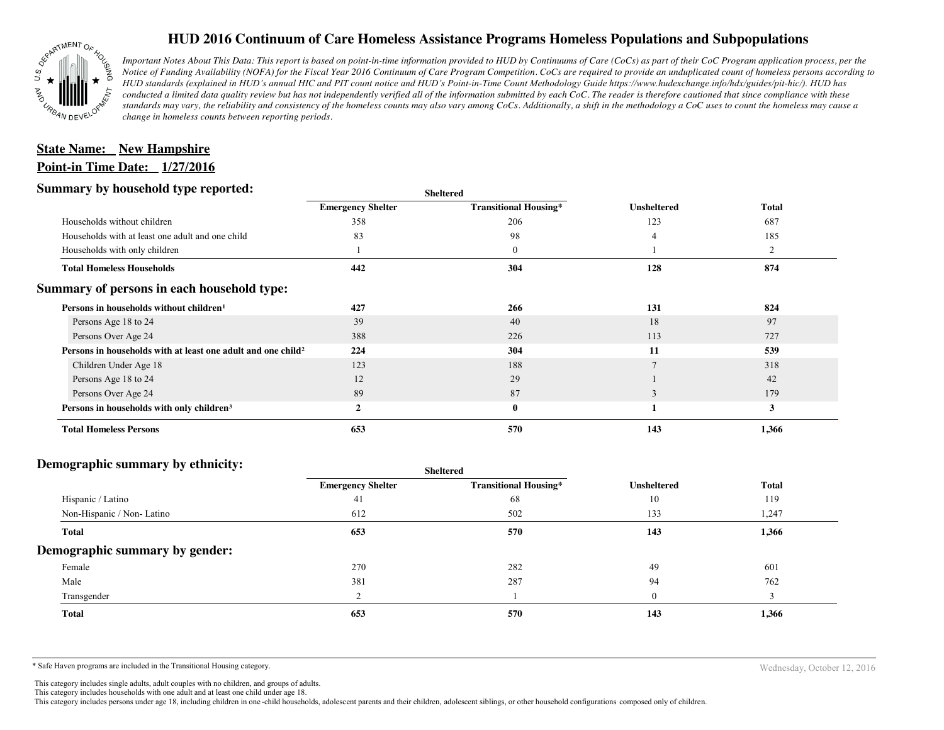

## **HUD 2016 Continuum of Care Homeless Assistance Programs Homeless Populations and Subpopulations**

*Important Notes About This Data: This report is based on point-in-time information provided to HUD by Continuums of Care (CoCs) as part of their CoC Program application process, per the Notice of Funding Availability (NOFA) for the Fiscal Year 2016 Continuum of Care Program Competition. CoCs are required to provide an unduplicated count of homeless persons according to HUD standards (explained in HUD's annual HIC and PIT count notice and HUD's Point-in-Time Count Methodology Guide https://www.hudexchange.info/hdx/guides/pit-hic/). HUD has conducted a limited data quality review but has not independently verified all of the information submitted by each CoC. The reader is therefore cautioned that since compliance with these*  standards may vary, the reliability and consistency of the homeless counts may also vary among CoCs. Additionally, a shift in the methodology a CoC uses to count the homeless may cause a *change in homeless counts between reporting periods.*

# **Point-in Time Date: 1/27/2016 <u>State Name: New Hampshire</u>**

#### **Summary by household type reported:**

| ັ້                                                                       | энскеген                 |                              |                    |                |
|--------------------------------------------------------------------------|--------------------------|------------------------------|--------------------|----------------|
|                                                                          | <b>Emergency Shelter</b> | <b>Transitional Housing*</b> | <b>Unsheltered</b> | <b>Total</b>   |
| Households without children                                              | 358                      | 206                          | 123                | 687            |
| Households with at least one adult and one child                         | 83                       | 98                           |                    | 185            |
| Households with only children                                            |                          | $\bf{0}$                     |                    | $\overline{2}$ |
| <b>Total Homeless Households</b>                                         | 442                      | 304                          | 128                | 874            |
| Summary of persons in each household type:                               |                          |                              |                    |                |
| Persons in households without children <sup>1</sup>                      | 427                      | 266                          | 131                | 824            |
| Persons Age 18 to 24                                                     | 39                       | 40                           | 18                 | 97             |
| Persons Over Age 24                                                      | 388                      | 226                          | 113                | 727            |
| Persons in households with at least one adult and one child <sup>2</sup> | 224                      | 304                          | 11                 | 539            |
| Children Under Age 18                                                    | 123                      | 188                          |                    | 318            |
| Persons Age 18 to 24                                                     | 12                       | 29                           |                    | 42             |
| Persons Over Age 24                                                      | 89                       | 87                           | 3                  | 179            |
| Persons in households with only children <sup>3</sup>                    | 2                        | $\bf{0}$                     |                    | $\mathbf{3}$   |
| <b>Total Homeless Persons</b>                                            | 653                      | 570                          | 143                | 1,366          |

**Sheltered**

#### **Demographic summary by ethnicity:**

| $\sim$ . $\sim$ , $\sim$ , $\sim$ , $\sim$ , $\sim$ , $\sim$ , $\sim$ , $\sim$ , $\sim$ , $\sim$ , $\sim$ , $\sim$ , $\sim$ , $\sim$ , $\sim$ , $\sim$ , $\sim$ , $\sim$ , $\sim$ , $\sim$ , $\sim$ , $\sim$ , $\sim$ , $\sim$ , $\sim$ , $\sim$ , $\sim$ , $\sim$ , $\sim$ , $\sim$ , $\sim$ | Sheltered                |                              |                    |              |  |
|-----------------------------------------------------------------------------------------------------------------------------------------------------------------------------------------------------------------------------------------------------------------------------------------------|--------------------------|------------------------------|--------------------|--------------|--|
|                                                                                                                                                                                                                                                                                               | <b>Emergency Shelter</b> | <b>Transitional Housing*</b> | <b>Unsheltered</b> | <b>Total</b> |  |
| Hispanic / Latino                                                                                                                                                                                                                                                                             | 41                       | 68                           | 10                 | 119          |  |
| Non-Hispanic / Non-Latino                                                                                                                                                                                                                                                                     | 612                      | 502                          | 133                | 1,247        |  |
| <b>Total</b>                                                                                                                                                                                                                                                                                  | 653                      | 570                          | 143                | 1,366        |  |
| Demographic summary by gender:                                                                                                                                                                                                                                                                |                          |                              |                    |              |  |
| Female                                                                                                                                                                                                                                                                                        | 270                      | 282                          | 49                 | 601          |  |
| Male                                                                                                                                                                                                                                                                                          | 381                      | 287                          | 94                 | 762          |  |
| Transgender                                                                                                                                                                                                                                                                                   |                          |                              | $\Omega$           |              |  |
| <b>Total</b>                                                                                                                                                                                                                                                                                  | 653                      | 570                          | 143                | 1,366        |  |

\* Safe Haven programs are included in the Transitional Housing category.

Wednesday, October 12, 2016

This category includes single adults, adult couples with no children, and groups of adults. This category includes households with one adult and at least one child under age 18.

This category includes persons under age 18, including children in one -child households, adolescent parents and their children, adolescent siblings, or other household configurations composed only of children